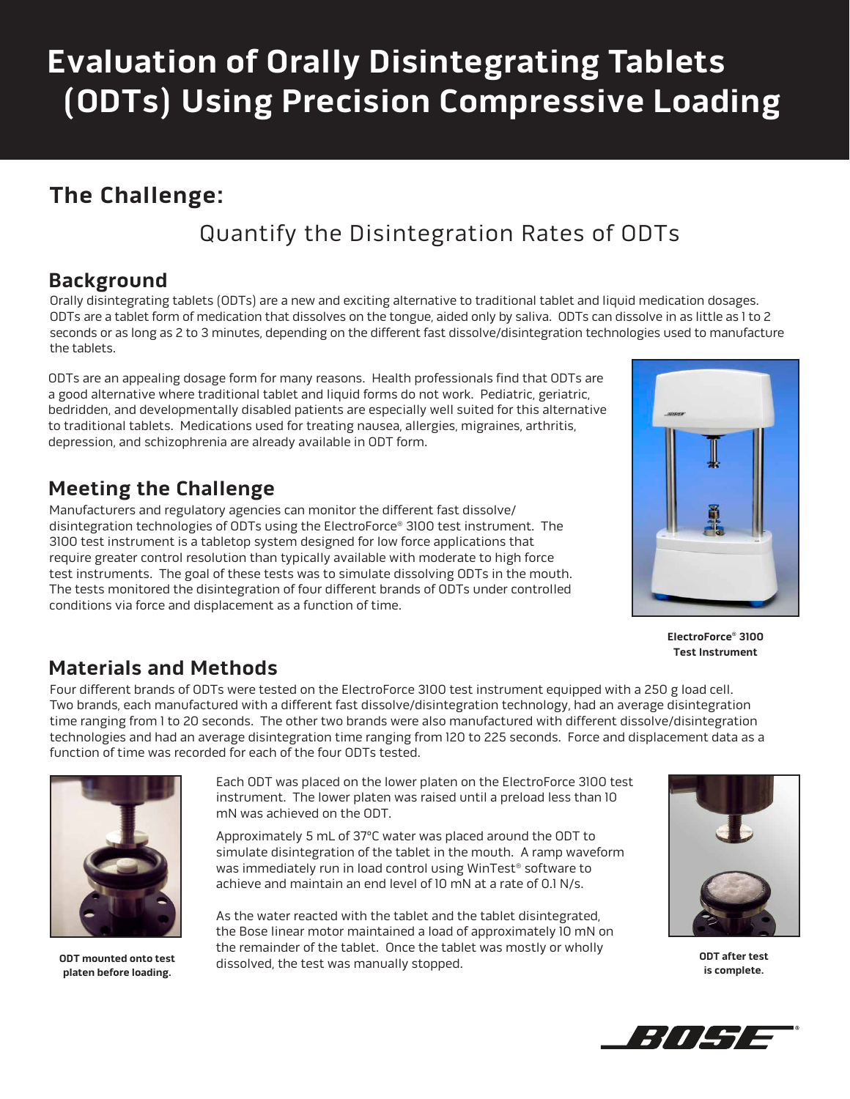# **Evaluation of Orally Disintegrating Tablets (ODTs) Using Precision Compressive Loading**

## **The Challenge:**

# Quantify the Disintegration Rates of ODTs

#### **Background**

Orally disintegrating tablets (ODTs) are a new and exciting alternative to traditional tablet and liquid medication dosages. ODTs are a tablet form of medication that dissolves on the tongue, aided only by saliva. ODTs can dissolve in as little as 1 to 2 seconds or as long as 2 to 3 minutes, depending on the different fast dissolve/disintegration technologies used to manufacture the tablets.

ODTs are an appealing dosage form for many reasons. Health professionals find that ODTs are a good alternative where traditional tablet and liquid forms do not work. Pediatric, geriatric, bedridden, and developmentally disabled patients are especially well suited for this alternative to traditional tablets. Medications used for treating nausea, allergies, migraines, arthritis, depression, and schizophrenia are already available in ODT form.

### **Meeting the Challenge**

Manufacturers and regulatory agencies can monitor the different fast dissolve/ disintegration technologies of ODTs using the ElectroForce® 3100 test instrument. The 3100 test instrument is a tabletop system designed for low force applications that require greater control resolution than typically available with moderate to high force test instruments. The goal of these tests was to simulate dissolving ODTs in the mouth. The tests monitored the disintegration of four different brands of ODTs under controlled conditions via force and displacement as a function of time.



**ElectroForce® 3100 Test Instrument**

#### **Materials and Methods**

Four different brands of ODTs were tested on the ElectroForce 3100 test instrument equipped with a 250 g load cell. Two brands, each manufactured with a different fast dissolve/disintegration technology, had an average disintegration time ranging from 1 to 20 seconds. The other two brands were also manufactured with different dissolve/disintegration technologies and had an average disintegration time ranging from 120 to 225 seconds. Force and displacement data as a function of time was recorded for each of the four ODTs tested.



**ODT mounted onto test platen before loading.**

Each ODT was placed on the lower platen on the ElectroForce 3100 test instrument. The lower platen was raised until a preload less than 10 mN was achieved on the ODT.

Approximately 5 mL of 37ºC water was placed around the ODT to simulate disintegration of the tablet in the mouth. A ramp waveform was immediately run in load control using WinTest® software to achieve and maintain an end level of 10 mN at a rate of 0.1 N/s.

As the water reacted with the tablet and the tablet disintegrated, the Bose linear motor maintained a load of approximately 10 mN on the remainder of the tablet. Once the tablet was mostly or wholly dissolved, the test was manually stopped.



**ODT after test is complete.**